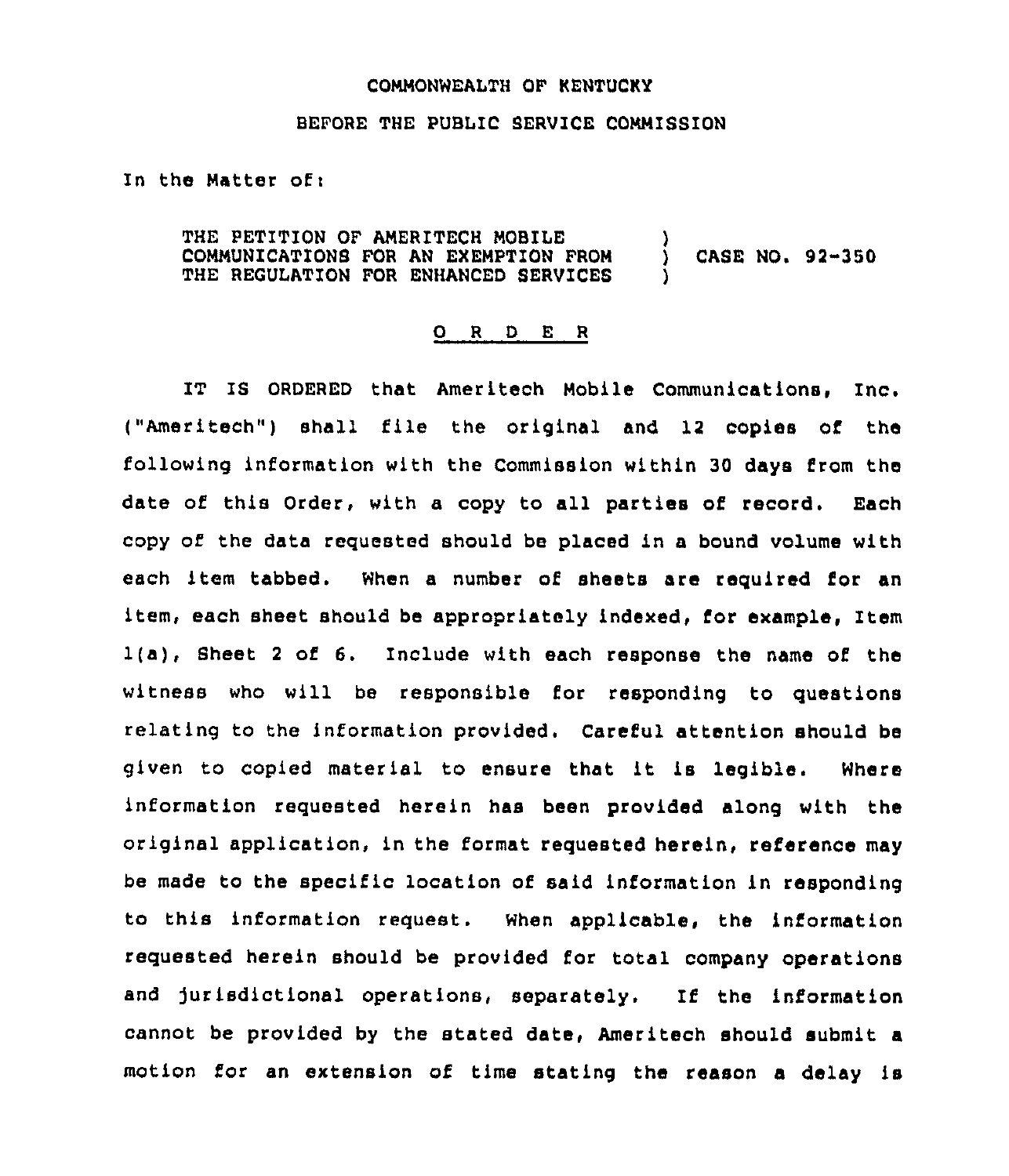## COMMONWEALTH OF KENTUCKY

## BEFORE THE PUBLIC SERVICE COMMISSION

In the Matter of:

THE PETITION OF AMERITECH MOBILE COMMUNICAT1ONS FOR AN EXEMPTION FROM THE REGULATION FOR ENHANCED SERVICES ) ) CASE NO. 92"350 )

## 0 <sup>R</sup> <sup>D</sup> <sup>E</sup> <sup>R</sup>

IT IS ORDERED that Ameritech Mobile Communications, Inc. ("Ameritech") shall file the original and 12 copies of the following information with the Commission within 30 days from the date of this Order, with a copy to all parties of record. Each copy of the data requested should be placed in a bound volume with each item tabbed. When a number of sheets are required for an item, each sheet should be appropriately indexed, for example, Item 1(a), Sheet <sup>2</sup> of 6. Include with each response the name of the witness who will be responsible for responding to questions relating to the information provided. Careful attention should be given to copied material to ensure that it is legible. Where information requested herein has been provided along with the original application, in the format requested herein, reference may be made to the specific location of said information in responding to this information request. When applicable, the information requested herein should be provided for total company operations and jurisdictional operations, separately. If the information cannot be provided by the stated date, Ameritech should submit a motion for an extension of time stating the reason a delay is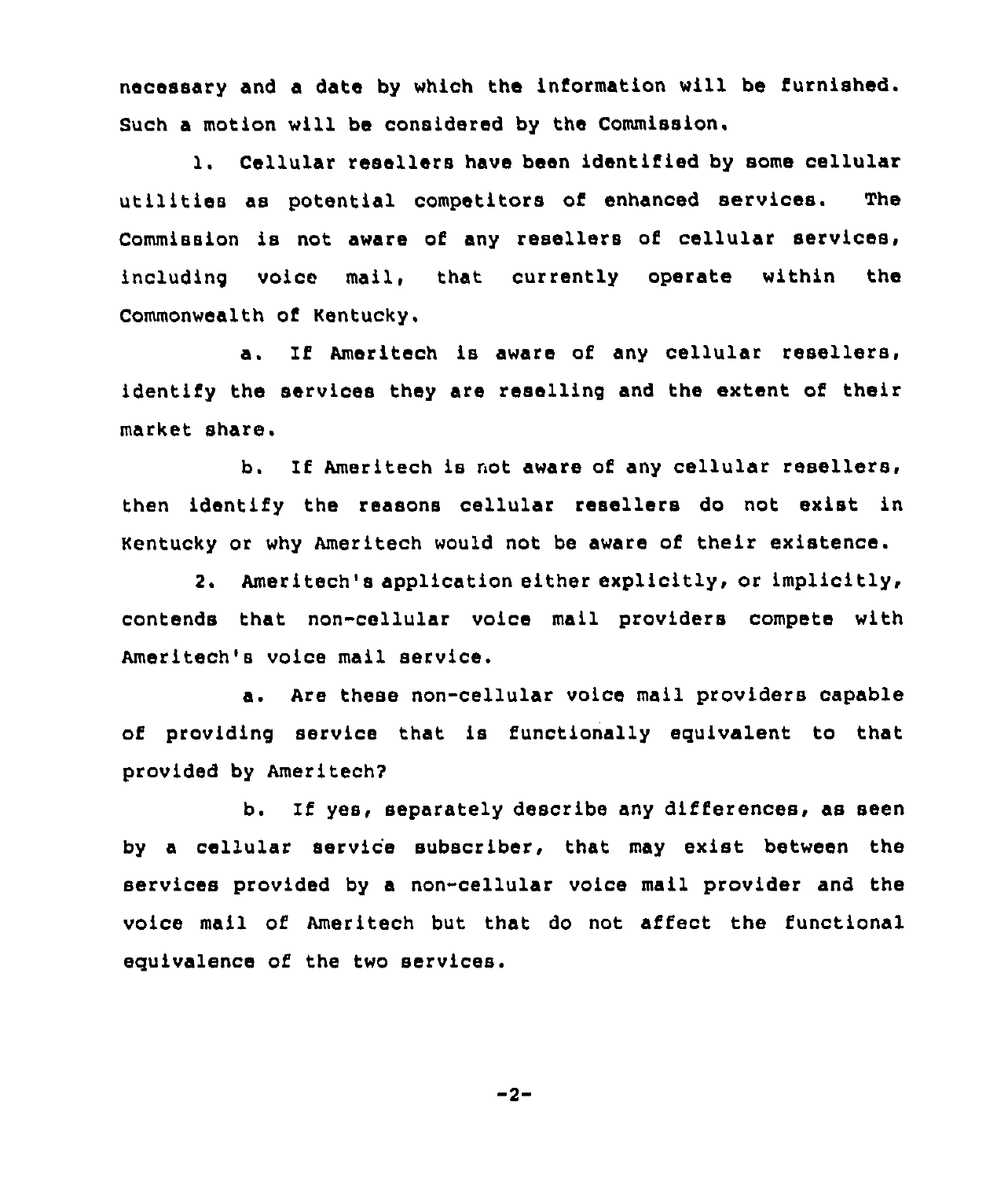necessary and a date by which the information will be furnished. Such a motion will be considered by the Commission.

l. Cellular resellers have been identified by some cellular utilities as potential competitors of enhanced services. The Commission is not aware of any resellers of cellular services, including voice mail, that currently operate within the Commonwealth of Kentucky.

a. If Ameritech is aware of any cellular resellers, identify the services they are reselling and the extent of their market share.

b. If Ameritech is not aware of any cellular resellers, then identify the reasons cellular resellers do not exist in Kentucky or why Ameritech would not be aware of their existence.

2. Ameritech's application either explicitly, or implicitly, contends that non-cellular voice mail providers compete with Ameritech's voice mail service.

a. Are these non-cellular voice mail providers capable of providing service that is functionally equivalent to that provided by Ameritech?

b. If yes, separately describe any differences, as seen by a cellular service subscriber, that may exist between the services provided by a non-cellular voice mail provider and the voice mail of Ameritech but that do not affect the functional equivalence of the two services.

 $-2-$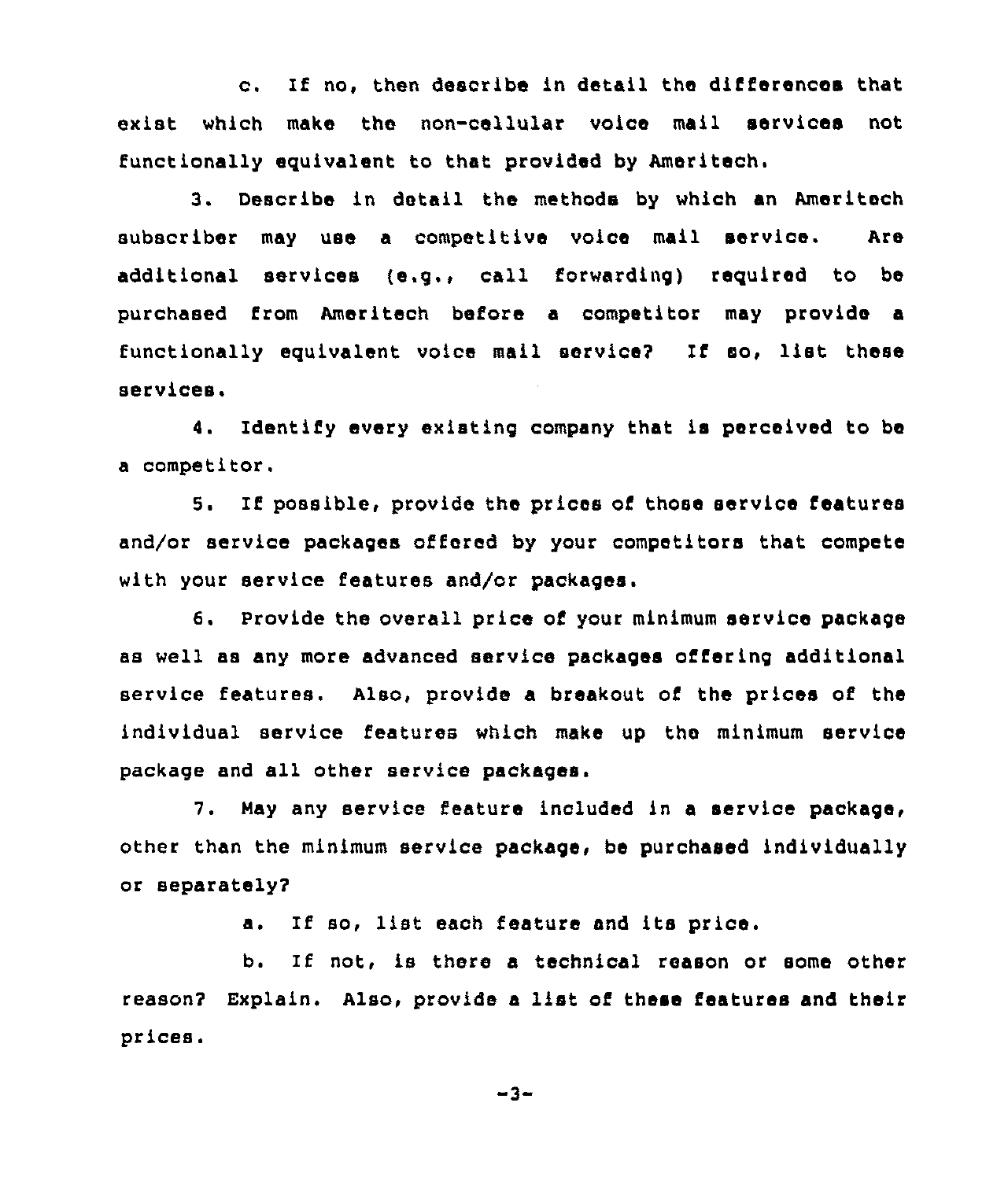c. If no, then describe in detail the differences that exist which make the non-cellular voice mail services not functionally equivalent to that provided by Ameritech.

3. Describe in detail the methods by which an Ameritech subscriber may use a competitive voice mail service. Are additional services (e.q., call forwarding) required to be purchased from Ameritech before a competitor may provide a functionally equivalent voice mail service? If so, list these services.

4. Identify every existing company that is perceived to be a competitor.

5. lf possible, provide the prices of those service features and/or service packages offered by your competitors that compete with your service features and/or packages.

6. Provide the overall price of your minimum service package as well as any more advanced service packages offering additional service features. Also, provide a breakout of the prices of the individual service features which make up the minimum service package and all other service packages.

7. May any service feature included in a service package, other than the minimum service package, be purchased individually or separately?

a. If so, list each feature and its price.

b. If not, is there a technical reason or some other reason? Explain. Also, provide <sup>a</sup> list of these features and their prices.

 $-3-$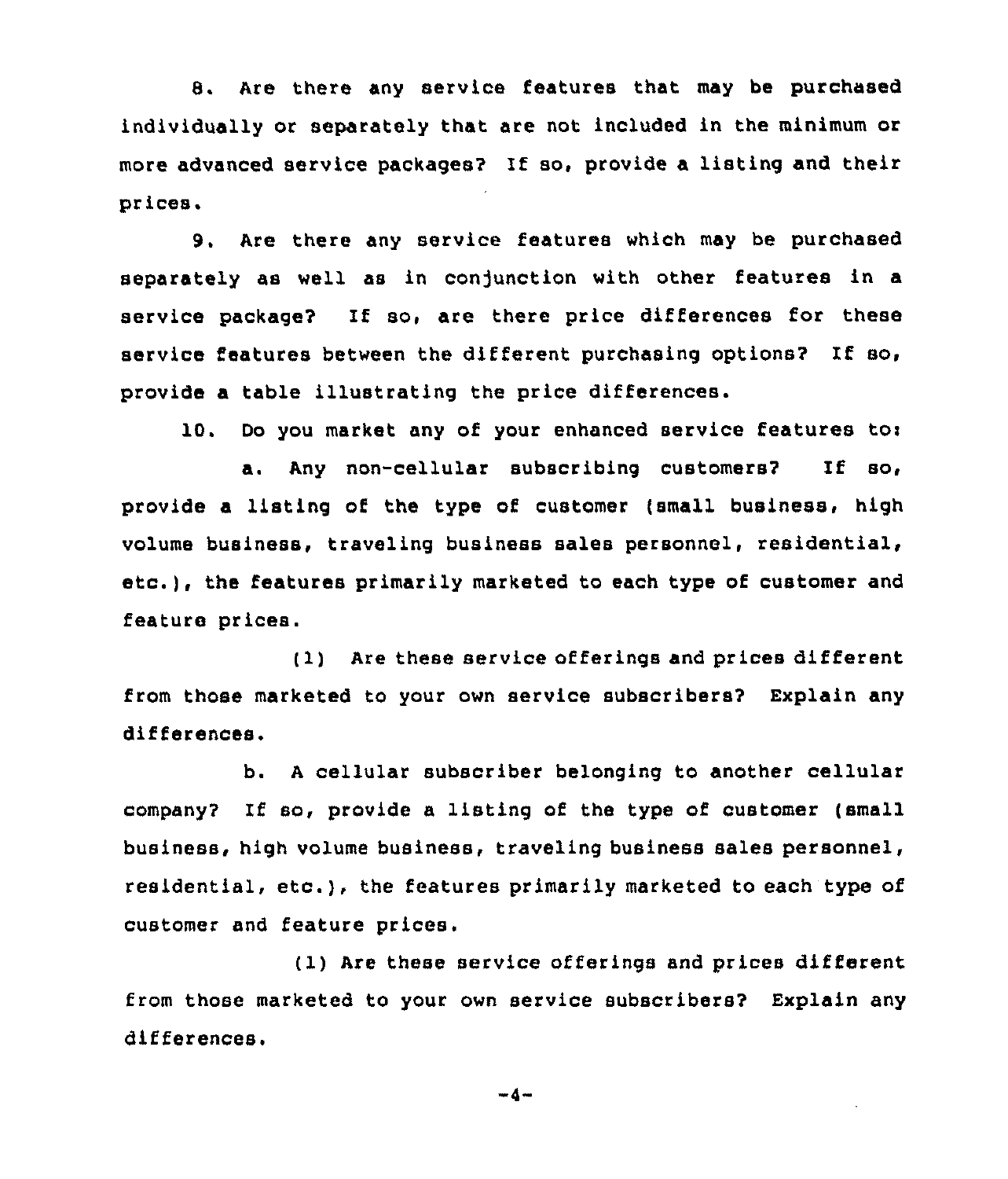8. Are there any service features that may be purchased individually or separately that are not included in the minimum or more advanced service packages? if so, provide a listing and their prices.

9. Are there any service features which may be purchased separately as well as in conjunction with other features in a service package? If so, are there price differences for these service features between the different purchasing options? If so, provide a table illustrating the price differences.

IQ. Do you market any of your enhanced service features toi

a. Any non-cellular subscribing customers2 If so, provide a listing of the type of customer (small business, high volume business, traveling business sales personnel, etc.), the features primarily marketed to each type of customer and feature prices.

(1) Are these service offerings and prices different from those marketed to your own service subscribers2 Explain any differences.

b. <sup>A</sup> cellular subscriber belonging to another cellular company? If so, provide a listing of the type of customer (small business, high volume business, traveling business sales personnel, residential, etc.), the features primarily marketed to each type of customer and feature prices.

(1) Are these service offerings and prices different from those marketed to your own service subscribers? Explain any differences.

 $-4-$